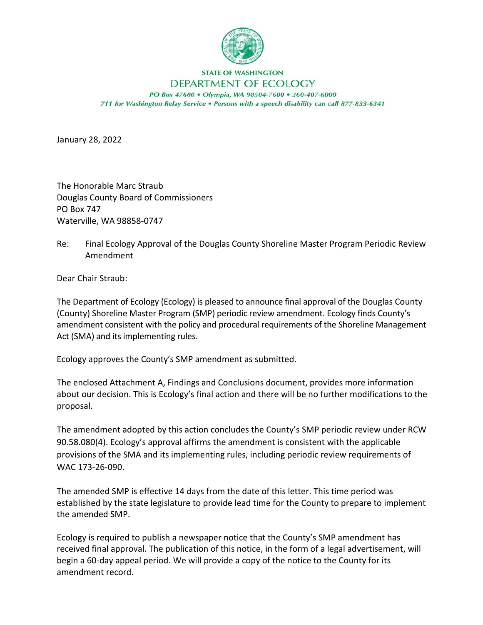

## **STATE OF WASHINGTON**

## DEPARTMENT OF ECOLOGY

PO Box 47600 . Olympia, WA 98504-7600 . 360-407-6000 711 for Washington Relay Service . Persons with a speech disability can call 877-833-6341

January 28, 2022

The Honorable Marc Straub Douglas County Board of Commissioners PO Box 747 Waterville, WA 98858-0747

Re: Final Ecology Approval of the Douglas County Shoreline Master Program Periodic Review Amendment

Dear Chair Straub:

The Department of Ecology (Ecology) is pleased to announce final approval of the Douglas County (County) Shoreline Master Program (SMP) periodic review amendment. Ecology finds County's amendment consistent with the policy and procedural requirements of the Shoreline Management Act (SMA) and its implementing rules.

Ecology approves the County's SMP amendment as submitted.

The enclosed Attachment A, Findings and Conclusions document, provides more information about our decision. This is Ecology's final action and there will be no further modifications to the proposal.

The amendment adopted by this action concludes the County's SMP periodic review under RCW 90.58.080(4). Ecology's approval affirms the amendment is consistent with the applicable provisions of the SMA and its implementing rules, including periodic review requirements of WAC 173-26-090.

The amended SMP is effective 14 days from the date of this letter. This time period was established by the state legislature to provide lead time for the County to prepare to implement the amended SMP.

Ecology is required to publish a newspaper notice that the County's SMP amendment has received final approval. The publication of this notice, in the form of a legal advertisement, will begin a 60-day appeal period. We will provide a copy of the notice to the County for its amendment record.